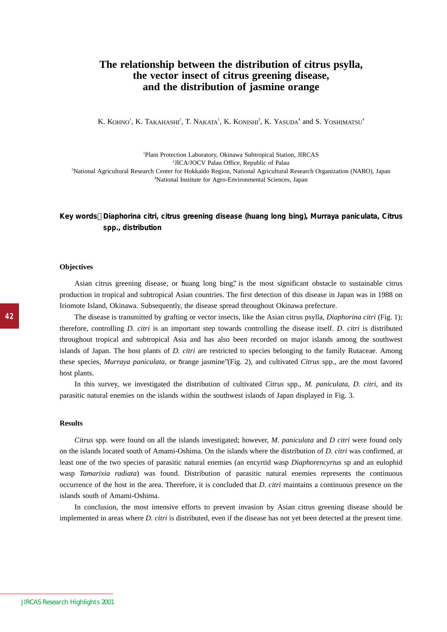# **The relationship between the distribution of citrus psylla, the vector insect of citrus greening disease, and the distribution of jasmine orange**

K. KOHNO<sup>1</sup>, K. Takahashi<sup>2</sup>, T. Nakata<sup>1</sup>, K. Konishi<sup>3</sup>, K. Yasuda<sup>4</sup> and S. Yoshimatsu<sup>4</sup>

 Plant Protection Laboratory, Okinawa Subtropical Station, JIRCAS JICA/JOCV Palau Office, Republic of Palau National Agricultural Research Center for Hokkaido Region, National Agricultural Research Organization (NARO), Japan National Institute for Agro-Environmental Sciences, Japan

## **Key words** *Diaphorina citri***, citrus greening disease (huang long bing),** *Murraya paniculata, Citrus* **spp., distribution**

#### **Objectives**

Asian citrus greening disease, or huang long bing, is the most significant obstacle to sustainable citrus production in tropical and subtropical Asian countries. The first detection of this disease in Japan was in 1988 on Iriomote Island, Okinawa. Subsequently, the disease spread throughout Okinawa prefecture.

The disease is transmitted by grafting or vector insects, like the Asian citrus psylla, *Diaphorina citri* (Fig. 1); therefore, controlling *D. citri* is an important step towards controlling the disease itself. *D. citri* is distributed throughout tropical and subtropical Asia and has also been recorded on major islands among the southwest islands of Japan. The host plants of *D. citri* are restricted to species belonging to the family Rutaceae. Among these species, *Murraya paniculata*, or "orange jasmine" (Fig. 2), and cultivated *Citrus* spp., are the most favored host plants.

In this survey, we investigated the distribution of cultivated *Citrus* spp., *M. paniculata*, *D. citri,* and its parasitic natural enemies on the islands within the southwest islands of Japan displayed in Fig. 3.

#### **Results**

*Citrus* spp. were found on all the islands investigated; however, *M. paniculata* and *D citri* were found only on the islands located south of Amami-Oshima. On the islands where the distribution of *D. citri* was confirmed, at least one of the two species of parasitic natural enemies (an encyrtid wasp *Diaphorencyrtus* sp and an eulophid wasp *Tamarixia radiata*) was found. Distribution of parasitic natural enemies represents the continuous occurrence of the host in the area. Therefore, it is concluded that *D. citri* maintains a continuous presence on the islands south of Amami-Oshima.

In conclusion, the most intensive efforts to prevent invasion by Asian citrus greening disease should be implemented in areas where *D. citri* is distributed, even if the disease has not yet been detected at the present time.